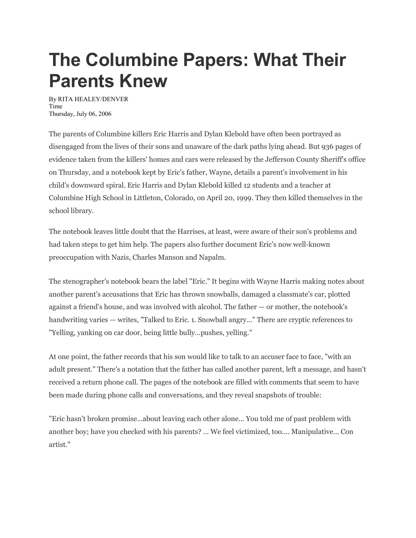## **The Columbine Papers: What Their Parents Knew**

By RITA HEALEY/DENVER Time Thursday, July 06, 2006

The parents of Columbine killers Eric Harris and Dylan Klebold have often been portrayed as disengaged from the lives of their sons and unaware of the dark paths lying ahead. But 936 pages of evidence taken from the killers' homes and cars were released by the Jefferson County Sheriff's office on Thursday, and a notebook kept by Eric's father, Wayne, details a parent's involvement in his child's downward spiral. Eric Harris and Dylan Klebold killed 12 students and a teacher at Columbine High School in Littleton, Colorado, on April 20, 1999. They then killed themselves in the school library.

The notebook leaves little doubt that the Harrises, at least, were aware of their son's problems and had taken steps to get him help. The papers also further document Eric's now well-known preoccupation with Nazis, Charles Manson and Napalm.

The stenographer's notebook bears the label "Eric." It begins with Wayne Harris making notes about another parent's accusations that Eric has thrown snowballs, damaged a classmate's car, plotted against a friend's house, and was involved with alcohol. The father — or mother, the notebook's handwriting varies — writes, "Talked to Eric. 1. Snowball angry..." There are cryptic references to "Yelling, yanking on car door, being little bully...pushes, yelling."

At one point, the father records that his son would like to talk to an accuser face to face, "with an adult present." There's a notation that the father has called another parent, left a message, and hasn't received a return phone call. The pages of the notebook are filled with comments that seem to have been made during phone calls and conversations, and they reveal snapshots of trouble:

"Eric hasn't broken promise...about leaving each other alone... You told me of past problem with another boy; have you checked with his parents? ... We feel victimized, too.... Manipulative... Con artist."